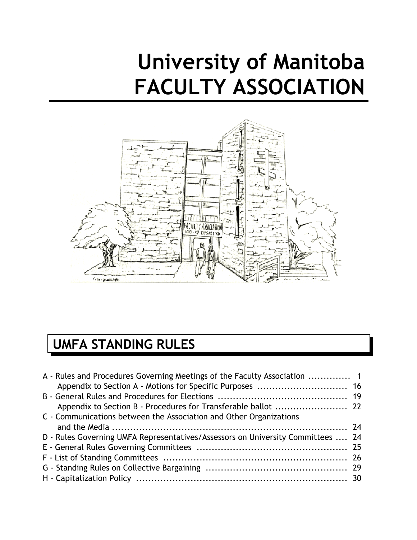# **University of Manitoba FACULTY ASSOCIATION**



# **UMFA STANDING RULES**

| A - Rules and Procedures Governing Meetings of the Faculty Association  1       |  |
|---------------------------------------------------------------------------------|--|
|                                                                                 |  |
|                                                                                 |  |
| C - Communications between the Association and Other Organizations              |  |
|                                                                                 |  |
| D - Rules Governing UMFA Representatives/Assessors on University Committees  24 |  |
|                                                                                 |  |
|                                                                                 |  |
|                                                                                 |  |
|                                                                                 |  |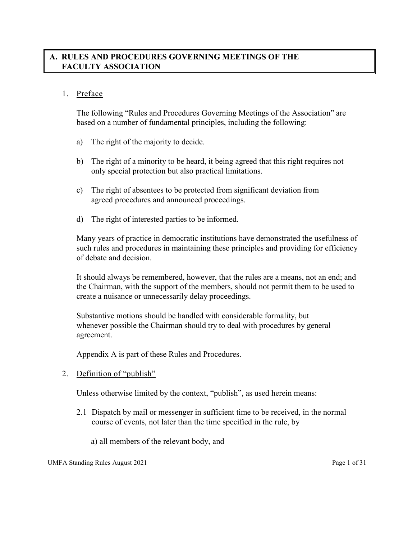# **A. RULES AND PROCEDURES GOVERNING MEETINGS OF THE FACULTY ASSOCIATION**

#### 1. Preface

The following "Rules and Procedures Governing Meetings of the Association" are based on a number of fundamental principles, including the following:

- a) The right of the majority to decide.
- b) The right of a minority to be heard, it being agreed that this right requires not only special protection but also practical limitations.
- c) The right of absentees to be protected from significant deviation from agreed procedures and announced proceedings.
- d) The right of interested parties to be informed.

Many years of practice in democratic institutions have demonstrated the usefulness of such rules and procedures in maintaining these principles and providing for efficiency of debate and decision.

It should always be remembered, however, that the rules are a means, not an end; and the Chairman, with the support of the members, should not permit them to be used to create a nuisance or unnecessarily delay proceedings.

Substantive motions should be handled with considerable formality, but whenever possible the Chairman should try to deal with procedures by general agreement.

Appendix A is part of these Rules and Procedures.

2. Definition of "publish"

Unless otherwise limited by the context, "publish", as used herein means:

- 2.1 Dispatch by mail or messenger in sufficient time to be received, in the normal course of events, not later than the time specified in the rule, by
	- a) all members of the relevant body, and

UMFA Standing Rules August 2021 **Page 1** of 31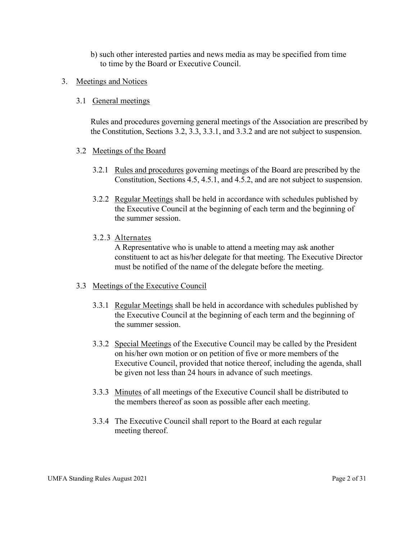- b) such other interested parties and news media as may be specified from time to time by the Board or Executive Council.
- 3. Meetings and Notices

#### 3.1 General meetings

Rules and procedures governing general meetings of the Association are prescribed by the Constitution, Sections 3.2, 3.3, 3.3.1, and 3.3.2 and are not subject to suspension.

#### 3.2 Meetings of the Board

- 3.2.1 Rules and procedures governing meetings of the Board are prescribed by the Constitution, Sections 4.5, 4.5.1, and 4.5.2, and are not subject to suspension.
- 3.2.2 Regular Meetings shall be held in accordance with schedules published by the Executive Council at the beginning of each term and the beginning of the summer session.

#### 3.2.3 Alternates

 A Representative who is unable to attend a meeting may ask another constituent to act as his/her delegate for that meeting. The Executive Director must be notified of the name of the delegate before the meeting.

#### 3.3 Meetings of the Executive Council

- 3.3.1 Regular Meetings shall be held in accordance with schedules published by the Executive Council at the beginning of each term and the beginning of the summer session.
- 3.3.2 Special Meetings of the Executive Council may be called by the President on his/her own motion or on petition of five or more members of the Executive Council, provided that notice thereof, including the agenda, shall be given not less than 24 hours in advance of such meetings.
- 3.3.3 Minutes of all meetings of the Executive Council shall be distributed to the members thereof as soon as possible after each meeting.
- 3.3.4 The Executive Council shall report to the Board at each regular meeting thereof.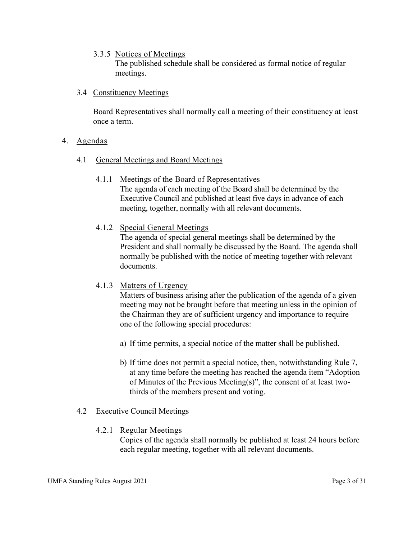3.3.5 Notices of Meetings

The published schedule shall be considered as formal notice of regular meetings.

3.4 Constituency Meetings

Board Representatives shall normally call a meeting of their constituency at least once a term.

- 4. Agendas
	- 4.1 General Meetings and Board Meetings
		- 4.1.1 Meetings of the Board of Representatives The agenda of each meeting of the Board shall be determined by the Executive Council and published at least five days in advance of each meeting, together, normally with all relevant documents.
		- 4.1.2 Special General Meetings

The agenda of special general meetings shall be determined by the President and shall normally be discussed by the Board. The agenda shall normally be published with the notice of meeting together with relevant documents.

4.1.3 Matters of Urgency

Matters of business arising after the publication of the agenda of a given meeting may not be brought before that meeting unless in the opinion of the Chairman they are of sufficient urgency and importance to require one of the following special procedures:

- a) If time permits, a special notice of the matter shall be published.
- b) If time does not permit a special notice, then, notwithstanding Rule 7, at any time before the meeting has reached the agenda item "Adoption of Minutes of the Previous Meeting(s)", the consent of at least twothirds of the members present and voting.

#### 4.2 Executive Council Meetings

4.2.1 Regular Meetings

Copies of the agenda shall normally be published at least 24 hours before each regular meeting, together with all relevant documents.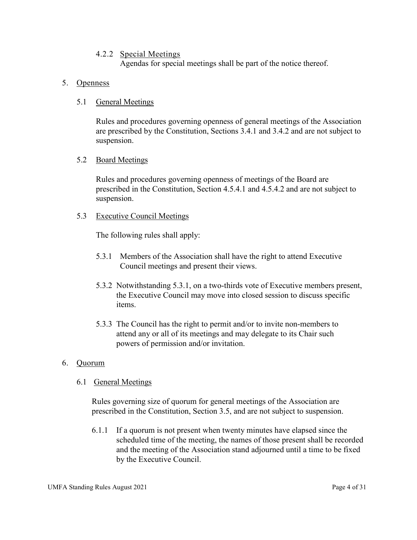#### 4.2.2 Special Meetings

Agendas for special meetings shall be part of the notice thereof.

#### 5. Openness

#### 5.1 General Meetings

Rules and procedures governing openness of general meetings of the Association are prescribed by the Constitution, Sections 3.4.1 and 3.4.2 and are not subject to suspension.

#### 5.2 Board Meetings

Rules and procedures governing openness of meetings of the Board are prescribed in the Constitution, Section 4.5.4.1 and 4.5.4.2 and are not subject to suspension.

#### 5.3 Executive Council Meetings

The following rules shall apply:

- 5.3.1 Members of the Association shall have the right to attend Executive Council meetings and present their views.
- 5.3.2 Notwithstanding 5.3.1, on a two-thirds vote of Executive members present, the Executive Council may move into closed session to discuss specific items.
- 5.3.3 The Council has the right to permit and/or to invite non-members to attend any or all of its meetings and may delegate to its Chair such powers of permission and/or invitation.

#### 6. Quorum

#### 6.1 General Meetings

Rules governing size of quorum for general meetings of the Association are prescribed in the Constitution, Section 3.5, and are not subject to suspension.

6.1.1 If a quorum is not present when twenty minutes have elapsed since the scheduled time of the meeting, the names of those present shall be recorded and the meeting of the Association stand adjourned until a time to be fixed by the Executive Council.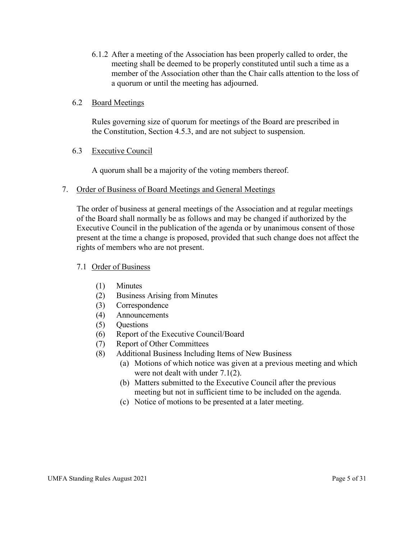6.1.2 After a meeting of the Association has been properly called to order, the meeting shall be deemed to be properly constituted until such a time as a member of the Association other than the Chair calls attention to the loss of a quorum or until the meeting has adjourned.

#### 6.2 Board Meetings

Rules governing size of quorum for meetings of the Board are prescribed in the Constitution, Section 4.5.3, and are not subject to suspension.

#### 6.3 Executive Council

A quorum shall be a majority of the voting members thereof.

#### 7. Order of Business of Board Meetings and General Meetings

The order of business at general meetings of the Association and at regular meetings of the Board shall normally be as follows and may be changed if authorized by the Executive Council in the publication of the agenda or by unanimous consent of those present at the time a change is proposed, provided that such change does not affect the rights of members who are not present.

#### 7.1 Order of Business

- (1) Minutes
- (2) Business Arising from Minutes
- (3) Correspondence
- (4) Announcements
- (5) Questions
- (6) Report of the Executive Council/Board
- (7) Report of Other Committees
- (8) Additional Business Including Items of New Business
	- (a) Motions of which notice was given at a previous meeting and which were not dealt with under 7.1(2).
	- (b) Matters submitted to the Executive Council after the previous meeting but not in sufficient time to be included on the agenda.
	- (c) Notice of motions to be presented at a later meeting.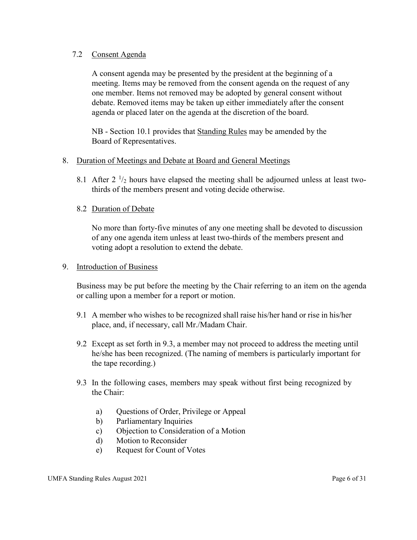#### 7.2 Consent Agenda

A consent agenda may be presented by the president at the beginning of a meeting. Items may be removed from the consent agenda on the request of any one member. Items not removed may be adopted by general consent without debate. Removed items may be taken up either immediately after the consent agenda or placed later on the agenda at the discretion of the board.

NB - Section 10.1 provides that Standing Rules may be amended by the Board of Representatives.

#### 8. Duration of Meetings and Debate at Board and General Meetings

8.1 After 2  $\frac{1}{2}$  hours have elapsed the meeting shall be adjourned unless at least twothirds of the members present and voting decide otherwise.

#### 8.2 Duration of Debate

No more than forty-five minutes of any one meeting shall be devoted to discussion of any one agenda item unless at least two-thirds of the members present and voting adopt a resolution to extend the debate.

#### 9. Introduction of Business

Business may be put before the meeting by the Chair referring to an item on the agenda or calling upon a member for a report or motion.

- 9.1 A member who wishes to be recognized shall raise his/her hand or rise in his/her place, and, if necessary, call Mr./Madam Chair.
- 9.2 Except as set forth in 9.3, a member may not proceed to address the meeting until he/she has been recognized. (The naming of members is particularly important for the tape recording.)
- 9.3 In the following cases, members may speak without first being recognized by the Chair:
	- a) Questions of Order, Privilege or Appeal
	- b) Parliamentary Inquiries
	- c) Objection to Consideration of a Motion
	- d) Motion to Reconsider
	- e) Request for Count of Votes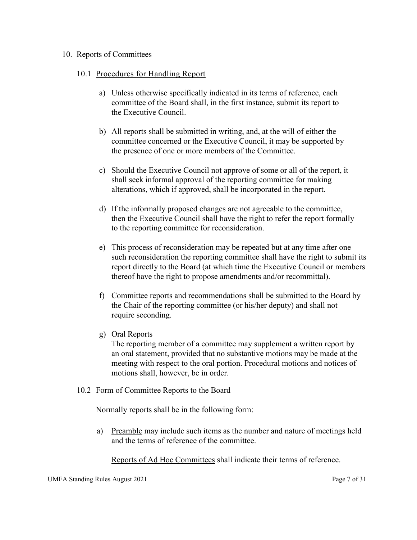#### 10. Reports of Committees

#### 10.1 Procedures for Handling Report

- a) Unless otherwise specifically indicated in its terms of reference, each committee of the Board shall, in the first instance, submit its report to the Executive Council.
- b) All reports shall be submitted in writing, and, at the will of either the committee concerned or the Executive Council, it may be supported by the presence of one or more members of the Committee.
- c) Should the Executive Council not approve of some or all of the report, it shall seek informal approval of the reporting committee for making alterations, which if approved, shall be incorporated in the report.
- d) If the informally proposed changes are not agreeable to the committee, then the Executive Council shall have the right to refer the report formally to the reporting committee for reconsideration.
- e) This process of reconsideration may be repeated but at any time after one such reconsideration the reporting committee shall have the right to submit its report directly to the Board (at which time the Executive Council or members thereof have the right to propose amendments and/or recommittal).
- f) Committee reports and recommendations shall be submitted to the Board by the Chair of the reporting committee (or his/her deputy) and shall not require seconding.
- g) Oral Reports

The reporting member of a committee may supplement a written report by an oral statement, provided that no substantive motions may be made at the meeting with respect to the oral portion. Procedural motions and notices of motions shall, however, be in order.

#### 10.2 Form of Committee Reports to the Board

Normally reports shall be in the following form:

a) Preamble may include such items as the number and nature of meetings held and the terms of reference of the committee.

Reports of Ad Hoc Committees shall indicate their terms of reference.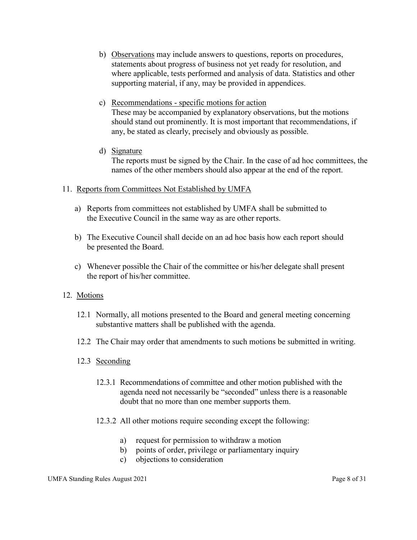- b) Observations may include answers to questions, reports on procedures, statements about progress of business not yet ready for resolution, and where applicable, tests performed and analysis of data. Statistics and other supporting material, if any, may be provided in appendices.
- c) Recommendations specific motions for action These may be accompanied by explanatory observations, but the motions should stand out prominently. It is most important that recommendations, if any, be stated as clearly, precisely and obviously as possible.
- d) Signature

The reports must be signed by the Chair. In the case of ad hoc committees, the names of the other members should also appear at the end of the report.

#### 11. Reports from Committees Not Established by UMFA

- a) Reports from committees not established by UMFA shall be submitted to the Executive Council in the same way as are other reports.
- b) The Executive Council shall decide on an ad hoc basis how each report should be presented the Board.
- c) Whenever possible the Chair of the committee or his/her delegate shall present the report of his/her committee.

#### 12. Motions

- 12.1 Normally, all motions presented to the Board and general meeting concerning substantive matters shall be published with the agenda.
- 12.2 The Chair may order that amendments to such motions be submitted in writing.
- 12.3 Seconding
	- 12.3.1 Recommendations of committee and other motion published with the agenda need not necessarily be "seconded" unless there is a reasonable doubt that no more than one member supports them.
	- 12.3.2 All other motions require seconding except the following:
		- a) request for permission to withdraw a motion
		- b) points of order, privilege or parliamentary inquiry
		- c) objections to consideration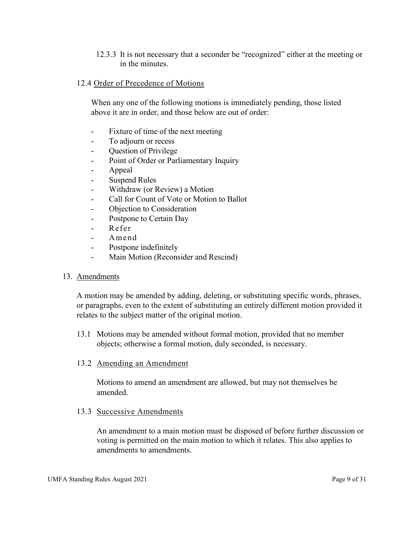12.3.3 It is not necessary that a seconder be "recognized" either at the meeting or in the minutes.

#### 12.4 Order of Precedence of Motions

When any one of the following motions is immediately pending, those listed above it are in order, and those below are out of order:

- Fixture of time of the next meeting
- To adjourn or recess
- Ouestion of Privilege
- Point of Order or Parliamentary Inquiry
- Appeal
- Suspend Rules
- Withdraw (or Review) a Motion
- Call for Count of Vote or Motion to Ballot
- Objection to Consideration
- Postpone to Certain Day
- Refer
- Amend
- Postpone indefinitely
- Main Motion (Reconsider and Rescind)

#### 13. Amendments

A motion may be amended by adding, deleting, or substituting specific words, phrases, or paragraphs, even to the extent of substituting an entirely different motion provided it relates to the subject matter of the original motion.

13.1 Motions may be amended without formal motion, provided that no member objects; otherwise a formal motion, duly seconded, is necessary.

#### 13.2 Amending an Amendment

Motions to amend an amendment are allowed, but may not themselves be amended.

#### 13.3 Successive Amendments

An amendment to a main motion must be disposed of before further discussion or voting is permitted on the main motion to which it relates. This also applies to amendments to amendments.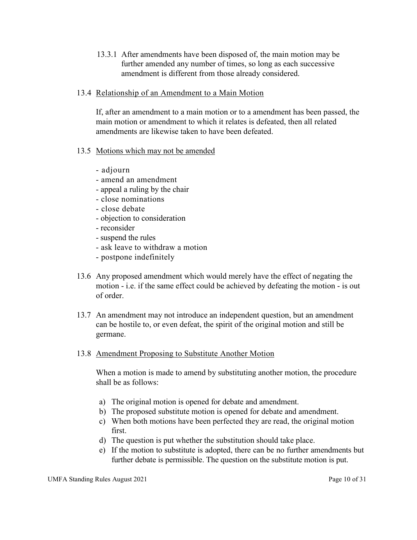13.3.1 After amendments have been disposed of, the main motion may be further amended any number of times, so long as each successive amendment is different from those already considered.

#### 13.4 Relationship of an Amendment to a Main Motion

If, after an amendment to a main motion or to a amendment has been passed, the main motion or amendment to which it relates is defeated, then all related amendments are likewise taken to have been defeated.

- 13.5 Motions which may not be amended
	- adjourn
	- amend an amendment
	- appeal a ruling by the chair
	- close nominations
	- close debate
	- objection to consideration
	- reconsider
	- suspend the rules
	- ask leave to withdraw a motion
	- postpone indefinitely
- 13.6 Any proposed amendment which would merely have the effect of negating the motion - i.e. if the same effect could be achieved by defeating the motion - is out of order.
- 13.7 An amendment may not introduce an independent question, but an amendment can be hostile to, or even defeat, the spirit of the original motion and still be germane.

#### 13.8 Amendment Proposing to Substitute Another Motion

When a motion is made to amend by substituting another motion, the procedure shall be as follows:

- a) The original motion is opened for debate and amendment.
- b) The proposed substitute motion is opened for debate and amendment.
- c) When both motions have been perfected they are read, the original motion first.
- d) The question is put whether the substitution should take place.
- e) If the motion to substitute is adopted, there can be no further amendments but further debate is permissible. The question on the substitute motion is put.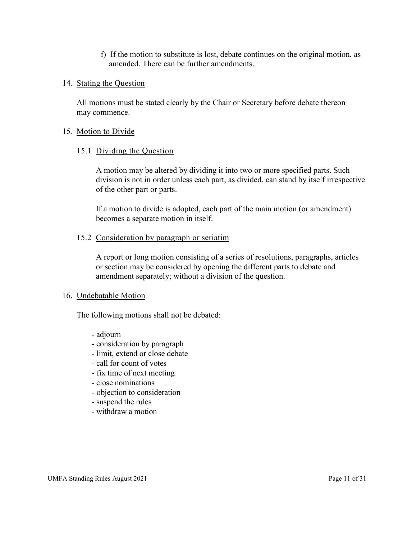f) If the motion to substitute is lost, debate continues on the original motion, as amended. There can be further amendments.

#### 14. Stating the Question

All motions must be stated clearly by the Chair or Secretary before debate thereon may commence.

#### 15. Motion to Divide

#### 15.1 Dividing the Question

A motion may be altered by dividing it into two or more specified parts. Such division is not in order unless each part, as divided, can stand by itself irrespective of the other part or parts.

If a motion to divide is adopted, each part of the main motion (or amendment) becomes a separate motion in itself.

#### 15.2 Consideration by paragraph or seriatim

A report or long motion consisting of a series of resolutions, paragraphs, articles or section may be considered by opening the different parts to debate and amendment separately; without a division of the question.

#### 16. Undebatable Motion

The following motions shall not be debated:

- adjourn
- consideration by paragraph
- limit, extend or close debate
- call for count of votes
- fix time of next meeting
- close nominations
- objection to consideration
- suspend the rules
- withdraw a motion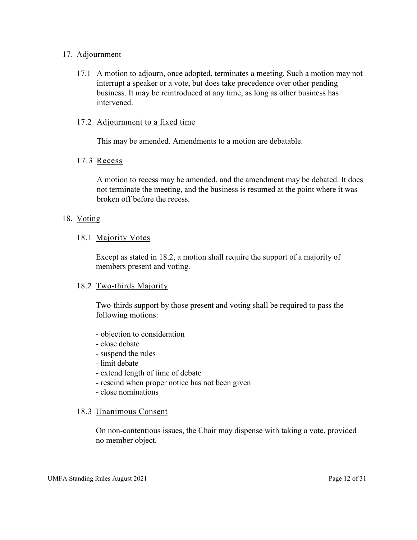#### 17. Adjournment

17.1 A motion to adjourn, once adopted, terminates a meeting. Such a motion may not interrupt a speaker or a vote, but does take precedence over other pending business. It may be reintroduced at any time, as long as other business has intervened.

#### 17.2 Adjournment to a fixed time

This may be amended. Amendments to a motion are debatable.

#### 17.3 Recess

A motion to recess may be amended, and the amendment may be debated. It does not terminate the meeting, and the business is resumed at the point where it was broken off before the recess.

#### 18. Voting

#### 18.1 Majority Votes

Except as stated in 18.2, a motion shall require the support of a majority of members present and voting.

#### 18.2 Two-thirds Majority

Two-thirds support by those present and voting shall be required to pass the following motions:

- objection to consideration
- close debate
- suspend the rules
- limit debate
- extend length of time of debate
- rescind when proper notice has not been given
- close nominations

#### 18.3 Unanimous Consent

On non-contentious issues, the Chair may dispense with taking a vote, provided no member object.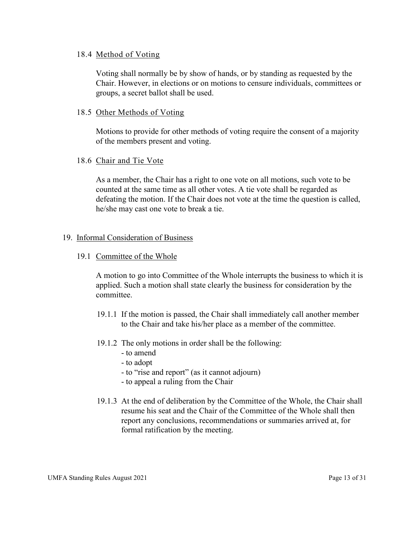#### 18.4 Method of Voting

Voting shall normally be by show of hands, or by standing as requested by the Chair. However, in elections or on motions to censure individuals, committees or groups, a secret ballot shall be used.

#### 18.5 Other Methods of Voting

Motions to provide for other methods of voting require the consent of a majority of the members present and voting.

#### 18.6 Chair and Tie Vote

As a member, the Chair has a right to one vote on all motions, such vote to be counted at the same time as all other votes. A tie vote shall be regarded as defeating the motion. If the Chair does not vote at the time the question is called, he/she may cast one vote to break a tie.

#### 19. Informal Consideration of Business

#### 19.1 Committee of the Whole

A motion to go into Committee of the Whole interrupts the business to which it is applied. Such a motion shall state clearly the business for consideration by the committee.

- 19.1.1 If the motion is passed, the Chair shall immediately call another member to the Chair and take his/her place as a member of the committee.
- 19.1.2 The only motions in order shall be the following:
	- to amend
	- to adopt
	- to "rise and report" (as it cannot adjourn)
	- to appeal a ruling from the Chair
- 19.1.3 At the end of deliberation by the Committee of the Whole, the Chair shall resume his seat and the Chair of the Committee of the Whole shall then report any conclusions, recommendations or summaries arrived at, for formal ratification by the meeting.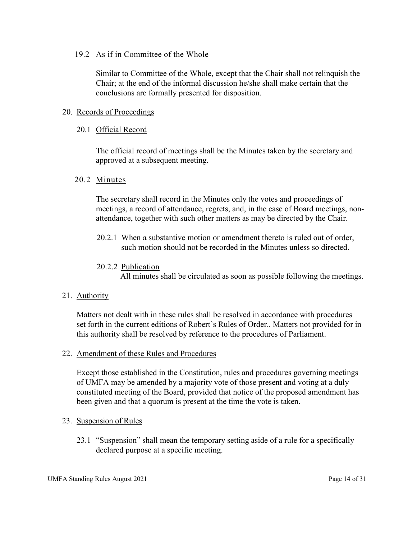#### 19.2 As if in Committee of the Whole

Similar to Committee of the Whole, except that the Chair shall not relinquish the Chair; at the end of the informal discussion he/she shall make certain that the conclusions are formally presented for disposition.

#### 20. Records of Proceedings

#### 20.1 Official Record

The official record of meetings shall be the Minutes taken by the secretary and approved at a subsequent meeting.

#### 20.2 Minutes

The secretary shall record in the Minutes only the votes and proceedings of meetings, a record of attendance, regrets, and, in the case of Board meetings, nonattendance, together with such other matters as may be directed by the Chair.

20.2.1 When a substantive motion or amendment thereto is ruled out of order, such motion should not be recorded in the Minutes unless so directed.

#### 20.2.2 Publication

All minutes shall be circulated as soon as possible following the meetings.

#### 21. Authority

Matters not dealt with in these rules shall be resolved in accordance with procedures set forth in the current editions of Robert's Rules of Order.. Matters not provided for in this authority shall be resolved by reference to the procedures of Parliament.

#### 22. Amendment of these Rules and Procedures

Except those established in the Constitution, rules and procedures governing meetings of UMFA may be amended by a majority vote of those present and voting at a duly constituted meeting of the Board, provided that notice of the proposed amendment has been given and that a quorum is present at the time the vote is taken.

#### 23. Suspension of Rules

23.1 "Suspension" shall mean the temporary setting aside of a rule for a specifically declared purpose at a specific meeting.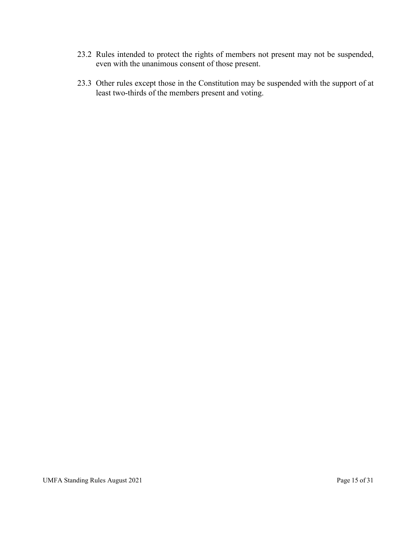- 23.2 Rules intended to protect the rights of members not present may not be suspended, even with the unanimous consent of those present.
- 23.3 Other rules except those in the Constitution may be suspended with the support of at least two-thirds of the members present and voting.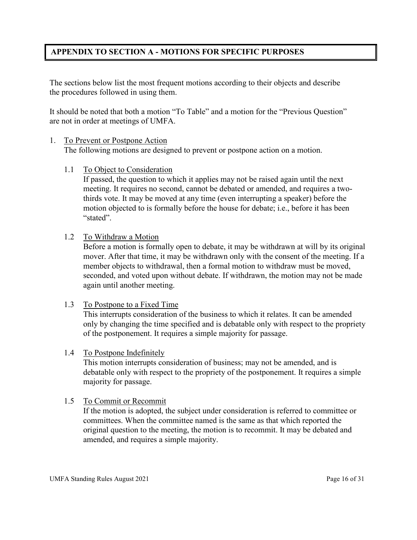#### **APPENDIX TO SECTION A - MOTIONS FOR SPECIFIC PURPOSES**

The sections below list the most frequent motions according to their objects and describe the procedures followed in using them.

It should be noted that both a motion "To Table" and a motion for the "Previous Question" are not in order at meetings of UMFA.

#### 1. To Prevent or Postpone Action

The following motions are designed to prevent or postpone action on a motion.

1.1 To Object to Consideration

If passed, the question to which it applies may not be raised again until the next meeting. It requires no second, cannot be debated or amended, and requires a twothirds vote. It may be moved at any time (even interrupting a speaker) before the motion objected to is formally before the house for debate; i.e., before it has been "stated".

1.2 To Withdraw a Motion

Before a motion is formally open to debate, it may be withdrawn at will by its original mover. After that time, it may be withdrawn only with the consent of the meeting. If a member objects to withdrawal, then a formal motion to withdraw must be moved, seconded, and voted upon without debate. If withdrawn, the motion may not be made again until another meeting.

#### 1.3 To Postpone to a Fixed Time

This interrupts consideration of the business to which it relates. It can be amended only by changing the time specified and is debatable only with respect to the propriety of the postponement. It requires a simple majority for passage.

#### 1.4 To Postpone Indefinitely

This motion interrupts consideration of business; may not be amended, and is debatable only with respect to the propriety of the postponement. It requires a simple majority for passage.

#### 1.5 To Commit or Recommit

If the motion is adopted, the subject under consideration is referred to committee or committees. When the committee named is the same as that which reported the original question to the meeting, the motion is to recommit. It may be debated and amended, and requires a simple majority.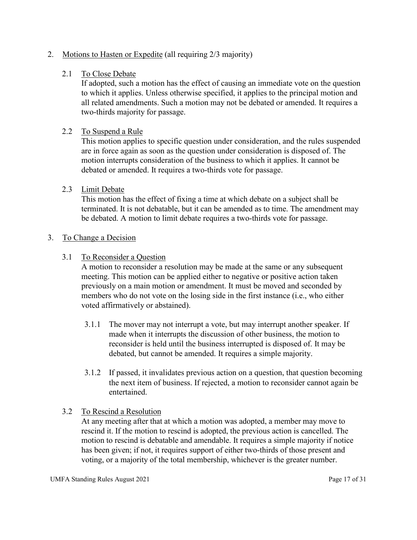#### 2. Motions to Hasten or Expedite (all requiring 2/3 majority)

#### 2.1 To Close Debate

If adopted, such a motion has the effect of causing an immediate vote on the question to which it applies. Unless otherwise specified, it applies to the principal motion and all related amendments. Such a motion may not be debated or amended. It requires a two-thirds majority for passage.

#### 2.2 To Suspend a Rule

This motion applies to specific question under consideration, and the rules suspended are in force again as soon as the question under consideration is disposed of. The motion interrupts consideration of the business to which it applies. It cannot be debated or amended. It requires a two-thirds vote for passage.

#### 2.3 Limit Debate

This motion has the effect of fixing a time at which debate on a subject shall be terminated. It is not debatable, but it can be amended as to time. The amendment may be debated. A motion to limit debate requires a two-thirds vote for passage.

#### 3. To Change a Decision

#### 3.1 To Reconsider a Question

 A motion to reconsider a resolution may be made at the same or any subsequent meeting. This motion can be applied either to negative or positive action taken previously on a main motion or amendment. It must be moved and seconded by members who do not vote on the losing side in the first instance (i.e., who either voted affirmatively or abstained).

- 3.1.1 The mover may not interrupt a vote, but may interrupt another speaker. If made when it interrupts the discussion of other business, the motion to reconsider is held until the business interrupted is disposed of. It may be debated, but cannot be amended. It requires a simple majority.
- 3.1.2 If passed, it invalidates previous action on a question, that question becoming the next item of business. If rejected, a motion to reconsider cannot again be entertained.

#### 3.2 To Rescind a Resolution

At any meeting after that at which a motion was adopted, a member may move to rescind it. If the motion to rescind is adopted, the previous action is cancelled. The motion to rescind is debatable and amendable. It requires a simple majority if notice has been given; if not, it requires support of either two-thirds of those present and voting, or a majority of the total membership, whichever is the greater number.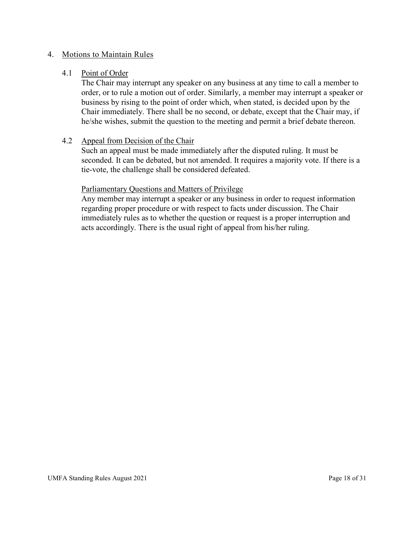#### 4. Motions to Maintain Rules

#### 4.1 Point of Order

 The Chair may interrupt any speaker on any business at any time to call a member to order, or to rule a motion out of order. Similarly, a member may interrupt a speaker or business by rising to the point of order which, when stated, is decided upon by the Chair immediately. There shall be no second, or debate, except that the Chair may, if he/she wishes, submit the question to the meeting and permit a brief debate thereon.

#### 4.2 Appeal from Decision of the Chair

 Such an appeal must be made immediately after the disputed ruling. It must be seconded. It can be debated, but not amended. It requires a majority vote. If there is a tie-vote, the challenge shall be considered defeated.

#### Parliamentary Questions and Matters of Privilege

 Any member may interrupt a speaker or any business in order to request information regarding proper procedure or with respect to facts under discussion. The Chair immediately rules as to whether the question or request is a proper interruption and acts accordingly. There is the usual right of appeal from his/her ruling.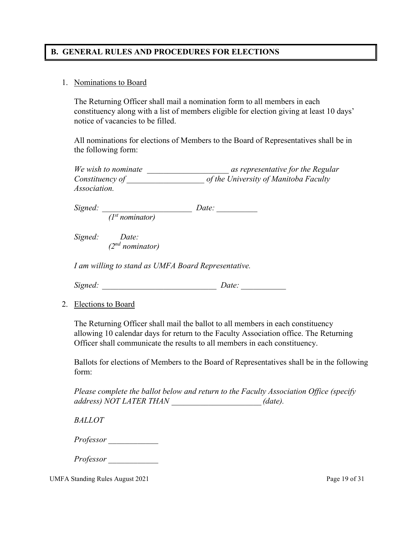#### **B. GENERAL RULES AND PROCEDURES FOR ELECTIONS**

#### 1. Nominations to Board

The Returning Officer shall mail a nomination form to all members in each constituency along with a list of members eligible for election giving at least 10 days' notice of vacancies to be filled.

All nominations for elections of Members to the Board of Representatives shall be in the following form:

| We wish to nominate | as representative for the Regular     |
|---------------------|---------------------------------------|
| Constituency of     | of the University of Manitoba Faculty |
| <i>Association.</i> |                                       |

*Signed: \_\_\_\_\_\_\_\_\_\_\_\_\_\_\_\_\_\_\_\_\_\_ Date: \_\_\_\_\_\_\_\_\_\_ (1st nominator)*

*Signed: Date: (2nd nominator)* 

*I am willing to stand as UMFA Board Representative.* 

*Signed: \_\_\_\_\_\_\_\_\_\_\_\_\_\_\_\_\_\_\_\_\_\_\_\_\_\_\_\_ Date: \_\_\_\_\_\_\_\_\_\_\_* 

2. Elections to Board

The Returning Officer shall mail the ballot to all members in each constituency allowing 10 calendar days for return to the Faculty Association office. The Returning Officer shall communicate the results to all members in each constituency.

Ballots for elections of Members to the Board of Representatives shall be in the following form:

*Please complete the ballot below and return to the Faculty Association Office (specify address) NOT LATER THAN \_\_\_\_\_\_\_\_\_\_\_\_\_\_\_\_\_\_\_\_\_\_ (date).* 

*BALLOT*

*Professor \_\_\_\_\_\_\_\_\_\_\_\_* 

*Professor \_\_\_\_\_\_\_\_\_\_\_\_* 

UMFA Standing Rules August 2021 **Page 19 of 31**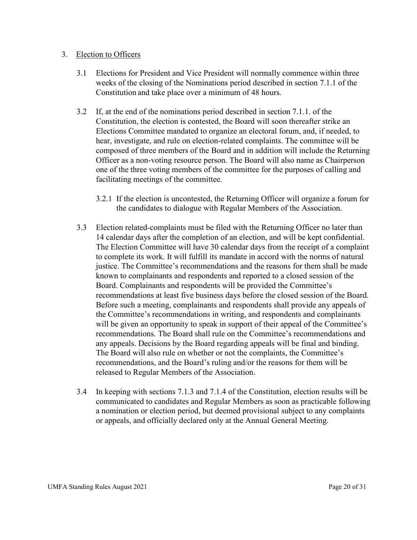#### 3. Election to Officers

- 3.1 Elections for President and Vice President will normally commence within three weeks of the closing of the Nominations period described in section 7.1.1 of the Constitution and take place over a minimum of 48 hours.
- 3.2 If, at the end of the nominations period described in section 7.1.1. of the Constitution, the election is contested, the Board will soon thereafter strike an Elections Committee mandated to organize an electoral forum, and, if needed, to hear, investigate, and rule on election-related complaints. The committee will be composed of three members of the Board and in addition will include the Returning Officer as a non-voting resource person. The Board will also name as Chairperson one of the three voting members of the committee for the purposes of calling and facilitating meetings of the committee.
	- 3.2.1 If the election is uncontested, the Returning Officer will organize a forum for the candidates to dialogue with Regular Members of the Association.
- 3.3 Election related-complaints must be filed with the Returning Officer no later than 14 calendar days after the completion of an election, and will be kept confidential. The Election Committee will have 30 calendar days from the receipt of a complaint to complete its work. It will fulfill its mandate in accord with the norms of natural justice. The Committee's recommendations and the reasons for them shall be made known to complainants and respondents and reported to a closed session of the Board. Complainants and respondents will be provided the Committee's recommendations at least five business days before the closed session of the Board. Before such a meeting, complainants and respondents shall provide any appeals of the Committee's recommendations in writing, and respondents and complainants will be given an opportunity to speak in support of their appeal of the Committee's recommendations. The Board shall rule on the Committee's recommendations and any appeals. Decisions by the Board regarding appeals will be final and binding. The Board will also rule on whether or not the complaints, the Committee's recommendations, and the Board's ruling and/or the reasons for them will be released to Regular Members of the Association.
- 3.4 In keeping with sections 7.1.3 and 7.1.4 of the Constitution, election results will be communicated to candidates and Regular Members as soon as practicable following a nomination or election period, but deemed provisional subject to any complaints or appeals, and officially declared only at the Annual General Meeting.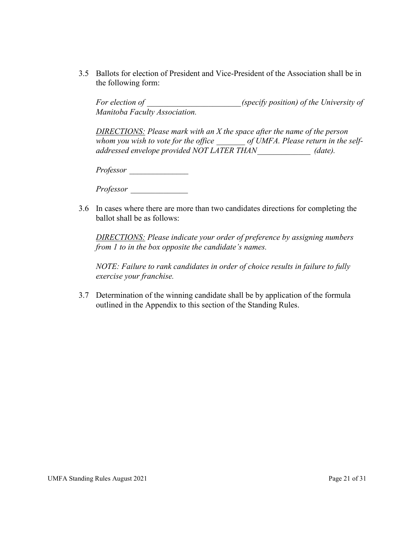3.5 Ballots for election of President and Vice-President of the Association shall be in the following form:

*For election of <i>(specify position) of the University of Manitoba Faculty Association.* 

*DIRECTIONS: Please mark with an X the space after the name of the person*  whom you wish to vote for the office of UMFA. Please return in the self*addressed envelope provided NOT LATER THAN \_\_\_\_\_\_\_\_\_\_\_\_\_ (date).*

*Professor \_\_\_\_\_\_\_\_\_\_\_\_\_\_\_* 

*Professor \_\_\_\_\_\_\_\_\_\_\_\_\_\_* 

3.6 In cases where there are more than two candidates directions for completing the ballot shall be as follows:

*DIRECTIONS: Please indicate your order of preference by assigning numbers from 1 to in the box opposite the candidate's names.* 

 *NOTE: Failure to rank candidates in order of choice results in failure to fully exercise your franchise.*

3.7 Determination of the winning candidate shall be by application of the formula outlined in the Appendix to this section of the Standing Rules.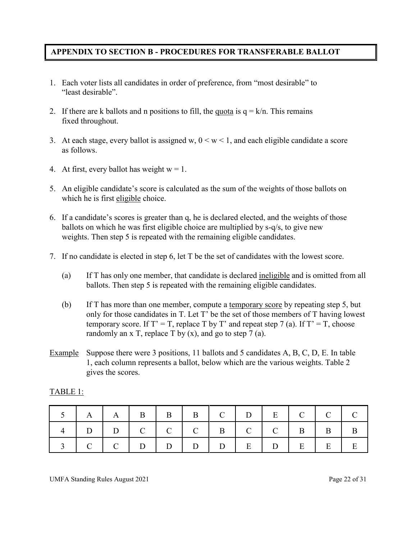#### **APPENDIX TO SECTION B - PROCEDURES FOR TRANSFERABLE BALLOT**

- 1. Each voter lists all candidates in order of preference, from "most desirable" to "least desirable".
- 2. If there are k ballots and n positions to fill, the quota is  $q = k/n$ . This remains fixed throughout.
- 3. At each stage, every ballot is assigned w,  $0 \le w \le 1$ , and each eligible candidate a score as follows.
- 4. At first, every ballot has weight  $w = 1$ .
- 5. An eligible candidate's score is calculated as the sum of the weights of those ballots on which he is first eligible choice.
- 6. If a candidate's scores is greater than q, he is declared elected, and the weights of those ballots on which he was first eligible choice are multiplied by s-q/s, to give new weights. Then step 5 is repeated with the remaining eligible candidates.
- 7. If no candidate is elected in step 6, let T be the set of candidates with the lowest score.
	- (a) If T has only one member, that candidate is declared ineligible and is omitted from all ballots. Then step 5 is repeated with the remaining eligible candidates.
	- (b) If T has more than one member, compute a temporary score by repeating step 5, but only for those candidates in T. Let T' be the set of those members of T having lowest temporary score. If  $T' = T$ , replace T by T' and repeat step 7 (a). If  $T' = T$ , choose randomly an x T, replace T by  $(x)$ , and go to step 7 (a).
- Example Suppose there were 3 positions, 11 ballots and 5 candidates A, B, C, D, E. In table 1, each column represents a ballot, below which are the various weights. Table 2 gives the scores.

| $A \mid A \mid B \mid B \mid B \mid C \mid D \mid E \mid C \mid C \mid C$ |                                                 |  |  |  |  |  |
|---------------------------------------------------------------------------|-------------------------------------------------|--|--|--|--|--|
|                                                                           |                                                 |  |  |  |  |  |
|                                                                           | $C   C   D   D   D   D   D   E   D   E   E   E$ |  |  |  |  |  |

#### TABLE 1: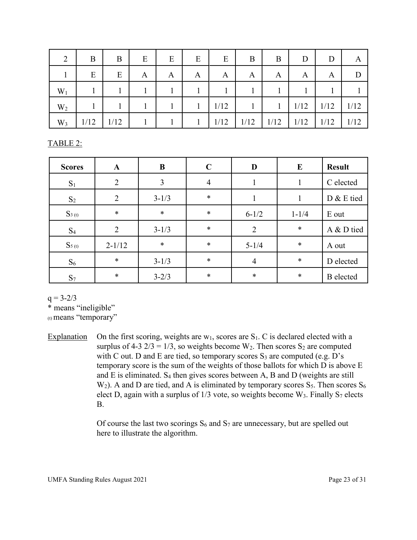| 2              | B    | B    | E | E | E | E    | B    | B    | D    | D    | А    |
|----------------|------|------|---|---|---|------|------|------|------|------|------|
|                | E    | E    | A | A | A | A    | A    | A    | A    | A    | D    |
| $W_1$          |      |      |   |   |   |      |      |      |      |      |      |
| W <sub>2</sub> |      |      |   |   |   | 1/12 |      |      | 1/12 | 1/12 | 1/12 |
| $W_3$          | 1/12 | 1/12 |   |   |   | 1/12 | 1/12 | 1/12 | 1/12 | 1/12 | 1/12 |

TABLE 2:

| <b>Scores</b>  | $\mathbf{A}$   | B         | $\mathbf C$ | D              | $\bf{E}$  | <b>Result</b>    |  |
|----------------|----------------|-----------|-------------|----------------|-----------|------------------|--|
| $S_1$          | $\overline{2}$ | 3         | 4           |                |           | C elected        |  |
| $\mathrm{S}_2$ | 2              | $3 - 1/3$ | $\ast$      |                |           | D & E tied       |  |
| $S_{3(t)}$     | $\ast$         | $\ast$    | $\ast$      | $6 - 1/2$      | $1 - 1/4$ | E out            |  |
| $S_4$          | $\overline{2}$ | $3 - 1/3$ | $\ast$      | $\overline{2}$ | $\ast$    | A & D tied       |  |
| $S_{5(t)}$     | $2 - 1/12$     | $\ast$    | $\ast$      | $5 - 1/4$      | $\ast$    | A out            |  |
| $S_6$          | $\ast$         | $3 - 1/3$ | $\ast$      | $\overline{4}$ | $\ast$    | D elected        |  |
| $S_7$          | $\ast$         | $3 - 2/3$ | $\ast$      | $\ast$         | $\ast$    | <b>B</b> elected |  |

 $q = 3 - 2/3$ 

\* means "ineligible"

(t) means "temporary"

Explanation On the first scoring, weights are  $w_1$ , scores are  $S_1$ . C is declared elected with a surplus of 4-3  $2/3 = 1/3$ , so weights become W<sub>2</sub>. Then scores S<sub>2</sub> are computed with C out. D and E are tied, so temporary scores  $S_3$  are computed (e.g. D's temporary score is the sum of the weights of those ballots for which D is above E and E is eliminated.  $S_4$  then gives scores between A, B and D (weights are still W<sub>2</sub>). A and D are tied, and A is eliminated by temporary scores  $S_5$ . Then scores  $S_6$ elect D, again with a surplus of  $1/3$  vote, so weights become W<sub>3</sub>. Finally S<sub>7</sub> elects B.

> Of course the last two scorings  $S_6$  and  $S_7$  are unnecessary, but are spelled out here to illustrate the algorithm.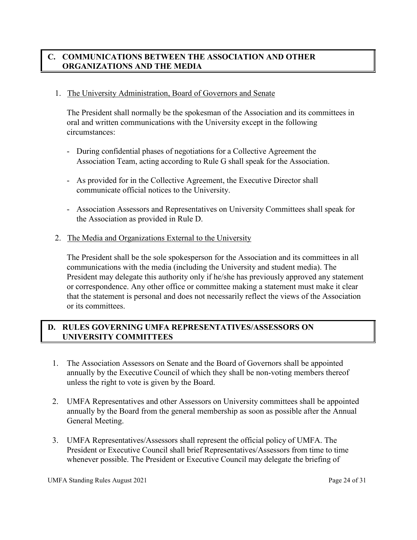# **C. COMMUNICATIONS BETWEEN THE ASSOCIATION AND OTHER ORGANIZATIONS AND THE MEDIA**

#### 1. The University Administration, Board of Governors and Senate

The President shall normally be the spokesman of the Association and its committees in oral and written communications with the University except in the following circumstances:

- During confidential phases of negotiations for a Collective Agreement the Association Team, acting according to Rule G shall speak for the Association.
- As provided for in the Collective Agreement, the Executive Director shall communicate official notices to the University.
- Association Assessors and Representatives on University Committees shall speak for the Association as provided in Rule D.
- 2. The Media and Organizations External to the University

The President shall be the sole spokesperson for the Association and its committees in all communications with the media (including the University and student media). The President may delegate this authority only if he/she has previously approved any statement or correspondence. Any other office or committee making a statement must make it clear that the statement is personal and does not necessarily reflect the views of the Association or its committees.

## **D. RULES GOVERNING UMFA REPRESENTATIVES/ASSESSORS ON UNIVERSITY COMMITTEES**

- 1. The Association Assessors on Senate and the Board of Governors shall be appointed annually by the Executive Council of which they shall be non-voting members thereof unless the right to vote is given by the Board.
- 2. UMFA Representatives and other Assessors on University committees shall be appointed annually by the Board from the general membership as soon as possible after the Annual General Meeting.
- 3. UMFA Representatives/Assessors shall represent the official policy of UMFA. The President or Executive Council shall brief Representatives/Assessors from time to time whenever possible. The President or Executive Council may delegate the briefing of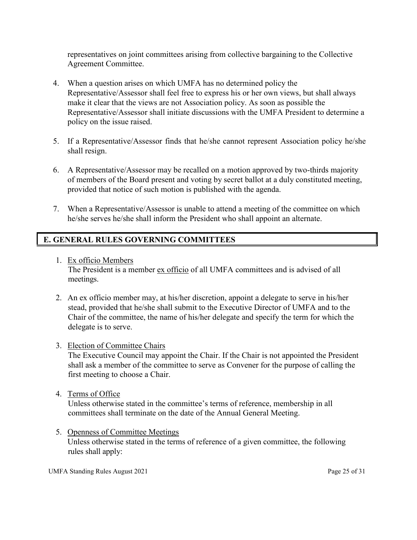representatives on joint committees arising from collective bargaining to the Collective Agreement Committee.

- 4. When a question arises on which UMFA has no determined policy the Representative/Assessor shall feel free to express his or her own views, but shall always make it clear that the views are not Association policy. As soon as possible the Representative/Assessor shall initiate discussions with the UMFA President to determine a policy on the issue raised.
- 5. If a Representative/Assessor finds that he/she cannot represent Association policy he/she shall resign.
- 6. A Representative/Assessor may be recalled on a motion approved by two-thirds majority of members of the Board present and voting by secret ballot at a duly constituted meeting, provided that notice of such motion is published with the agenda.
- 7. When a Representative/Assessor is unable to attend a meeting of the committee on which he/she serves he/she shall inform the President who shall appoint an alternate.

# **E. GENERAL RULES GOVERNING COMMITTEES**

- 1. Ex officio Members The President is a member ex officio of all UMFA committees and is advised of all meetings.
- 2. An ex officio member may, at his/her discretion, appoint a delegate to serve in his/her stead, provided that he/she shall submit to the Executive Director of UMFA and to the Chair of the committee, the name of his/her delegate and specify the term for which the delegate is to serve.
- 3. Election of Committee Chairs

The Executive Council may appoint the Chair. If the Chair is not appointed the President shall ask a member of the committee to serve as Convener for the purpose of calling the first meeting to choose a Chair.

4. Terms of Office

Unless otherwise stated in the committee's terms of reference, membership in all committees shall terminate on the date of the Annual General Meeting.

5. Openness of Committee Meetings Unless otherwise stated in the terms of reference of a given committee, the following rules shall apply:

UMFA Standing Rules August 2021 **Page 25 of 31**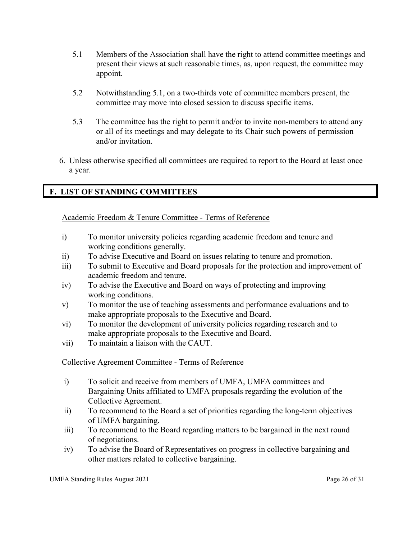- 5.1 Members of the Association shall have the right to attend committee meetings and present their views at such reasonable times, as, upon request, the committee may appoint.
- 5.2 Notwithstanding 5.1, on a two-thirds vote of committee members present, the committee may move into closed session to discuss specific items.
- 5.3 The committee has the right to permit and/or to invite non-members to attend any or all of its meetings and may delegate to its Chair such powers of permission and/or invitation.
- 6. Unless otherwise specified all committees are required to report to the Board at least once a year.

# **F. LIST OF STANDING COMMITTEES**

## Academic Freedom & Tenure Committee - Terms of Reference

- i) To monitor university policies regarding academic freedom and tenure and working conditions generally.
- ii) To advise Executive and Board on issues relating to tenure and promotion.
- iii) To submit to Executive and Board proposals for the protection and improvement of academic freedom and tenure.
- iv) To advise the Executive and Board on ways of protecting and improving working conditions.
- v) To monitor the use of teaching assessments and performance evaluations and to make appropriate proposals to the Executive and Board.
- vi) To monitor the development of university policies regarding research and to make appropriate proposals to the Executive and Board.
- vii) To maintain a liaison with the CAUT.

# Collective Agreement Committee - Terms of Reference

- i) To solicit and receive from members of UMFA, UMFA committees and Bargaining Units affiliated to UMFA proposals regarding the evolution of the Collective Agreement.
- ii) To recommend to the Board a set of priorities regarding the long-term objectives of UMFA bargaining.
- iii) To recommend to the Board regarding matters to be bargained in the next round of negotiations.
- iv) To advise the Board of Representatives on progress in collective bargaining and other matters related to collective bargaining.

UMFA Standing Rules August 2021 **Page 26 of 31**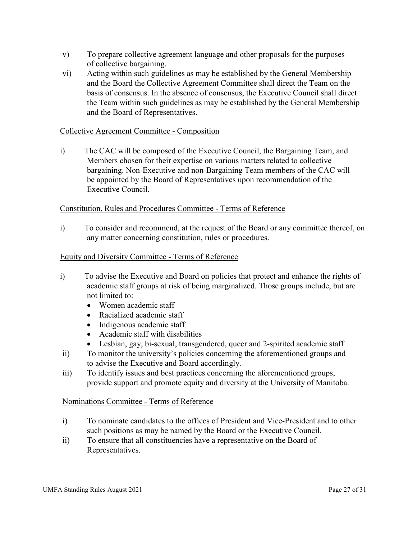- v) To prepare collective agreement language and other proposals for the purposes of collective bargaining.
- vi) Acting within such guidelines as may be established by the General Membership and the Board the Collective Agreement Committee shall direct the Team on the basis of consensus. In the absence of consensus, the Executive Council shall direct the Team within such guidelines as may be established by the General Membership and the Board of Representatives.

#### Collective Agreement Committee - Composition

i) The CAC will be composed of the Executive Council, the Bargaining Team, and Members chosen for their expertise on various matters related to collective bargaining. Non-Executive and non-Bargaining Team members of the CAC will be appointed by the Board of Representatives upon recommendation of the Executive Council.

#### Constitution, Rules and Procedures Committee - Terms of Reference

i) To consider and recommend, at the request of the Board or any committee thereof, on any matter concerning constitution, rules or procedures.

#### Equity and Diversity Committee - Terms of Reference

- i) To advise the Executive and Board on policies that protect and enhance the rights of academic staff groups at risk of being marginalized. Those groups include, but are not limited to:
	- Women academic staff
	- Racialized academic staff
	- Indigenous academic staff
	- Academic staff with disabilities
	- Lesbian, gay, bi-sexual, transgendered, queer and 2-spirited academic staff
- ii) To monitor the university's policies concerning the aforementioned groups and to advise the Executive and Board accordingly.
- iii) To identify issues and best practices concerning the aforementioned groups, provide support and promote equity and diversity at the University of Manitoba.

#### Nominations Committee - Terms of Reference

- i) To nominate candidates to the offices of President and Vice-President and to other such positions as may be named by the Board or the Executive Council.
- ii) To ensure that all constituencies have a representative on the Board of Representatives.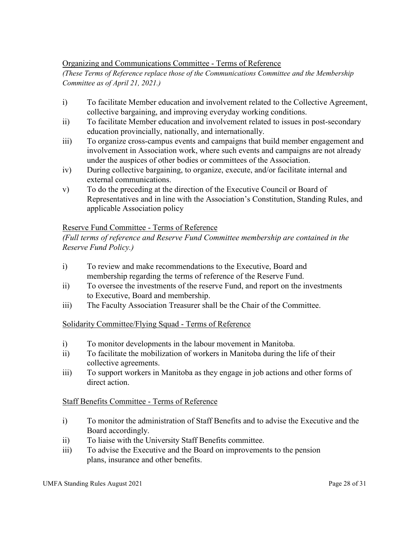#### Organizing and Communications Committee - Terms of Reference

*(These Terms of Reference replace those of the Communications Committee and the Membership Committee as of April 21, 2021.)* 

- i) To facilitate Member education and involvement related to the Collective Agreement, collective bargaining, and improving everyday working conditions.
- ii) To facilitate Member education and involvement related to issues in post-secondary education provincially, nationally, and internationally.
- iii) To organize cross-campus events and campaigns that build member engagement and involvement in Association work, where such events and campaigns are not already under the auspices of other bodies or committees of the Association.
- iv) During collective bargaining, to organize, execute, and/or facilitate internal and external communications.
- v) To do the preceding at the direction of the Executive Council or Board of Representatives and in line with the Association's Constitution, Standing Rules, and applicable Association policy

# Reserve Fund Committee - Terms of Reference

*(Full terms of reference and Reserve Fund Committee membership are contained in the Reserve Fund Policy.)*

- i) To review and make recommendations to the Executive, Board and membership regarding the terms of reference of the Reserve Fund.
- ii) To oversee the investments of the reserve Fund, and report on the investments to Executive, Board and membership.
- iii) The Faculty Association Treasurer shall be the Chair of the Committee.

# Solidarity Committee/Flying Squad - Terms of Reference

- i) To monitor developments in the labour movement in Manitoba.
- ii) To facilitate the mobilization of workers in Manitoba during the life of their collective agreements.
- iii) To support workers in Manitoba as they engage in job actions and other forms of direct action.

#### Staff Benefits Committee - Terms of Reference

- i) To monitor the administration of Staff Benefits and to advise the Executive and the Board accordingly.
- ii) To liaise with the University Staff Benefits committee.
- iii) To advise the Executive and the Board on improvements to the pension plans, insurance and other benefits.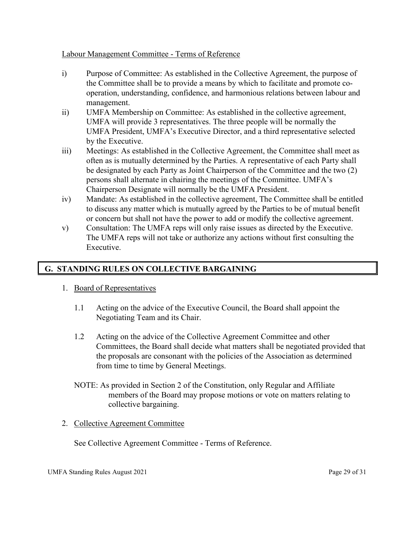#### Labour Management Committee - Terms of Reference

- i) Purpose of Committee: As established in the Collective Agreement, the purpose of the Committee shall be to provide a means by which to facilitate and promote cooperation, understanding, confidence, and harmonious relations between labour and management.
- ii) UMFA Membership on Committee: As established in the collective agreement, UMFA will provide 3 representatives. The three people will be normally the UMFA President, UMFA's Executive Director, and a third representative selected by the Executive.
- iii) Meetings: As established in the Collective Agreement, the Committee shall meet as often as is mutually determined by the Parties. A representative of each Party shall be designated by each Party as Joint Chairperson of the Committee and the two (2) persons shall alternate in chairing the meetings of the Committee. UMFA's Chairperson Designate will normally be the UMFA President.
- iv) Mandate: As established in the collective agreement, The Committee shall be entitled to discuss any matter which is mutually agreed by the Parties to be of mutual benefit or concern but shall not have the power to add or modify the collective agreement.
- v) Consultation: The UMFA reps will only raise issues as directed by the Executive. The UMFA reps will not take or authorize any actions without first consulting the Executive.

# **G. STANDING RULES ON COLLECTIVE BARGAINING**

- 1. Board of Representatives
	- 1.1 Acting on the advice of the Executive Council, the Board shall appoint the Negotiating Team and its Chair.
	- 1.2 Acting on the advice of the Collective Agreement Committee and other Committees, the Board shall decide what matters shall be negotiated provided that the proposals are consonant with the policies of the Association as determined from time to time by General Meetings.
	- NOTE: As provided in Section 2 of the Constitution, only Regular and Affiliate members of the Board may propose motions or vote on matters relating to collective bargaining.
- 2. Collective Agreement Committee

See Collective Agreement Committee - Terms of Reference.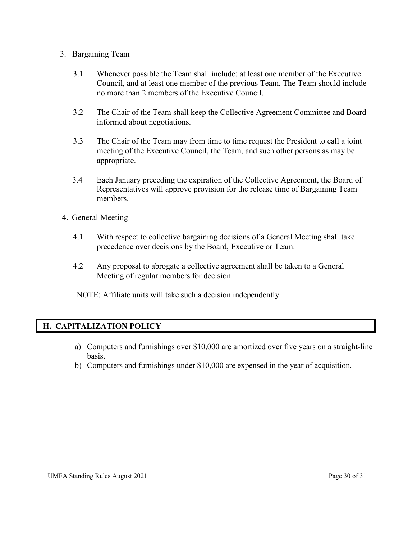#### 3. Bargaining Team

- 3.1 Whenever possible the Team shall include: at least one member of the Executive Council, and at least one member of the previous Team. The Team should include no more than 2 members of the Executive Council.
- 3.2 The Chair of the Team shall keep the Collective Agreement Committee and Board informed about negotiations.
- 3.3 The Chair of the Team may from time to time request the President to call a joint meeting of the Executive Council, the Team, and such other persons as may be appropriate.
- 3.4 Each January preceding the expiration of the Collective Agreement, the Board of Representatives will approve provision for the release time of Bargaining Team members.

#### 4. General Meeting

- 4.1 With respect to collective bargaining decisions of a General Meeting shall take precedence over decisions by the Board, Executive or Team.
- 4.2 Any proposal to abrogate a collective agreement shall be taken to a General Meeting of regular members for decision.

NOTE: Affiliate units will take such a decision independently.

# **H. CAPITALIZATION POLICY**

- a) Computers and furnishings over \$10,000 are amortized over five years on a straight-line basis.
- b) Computers and furnishings under \$10,000 are expensed in the year of acquisition.